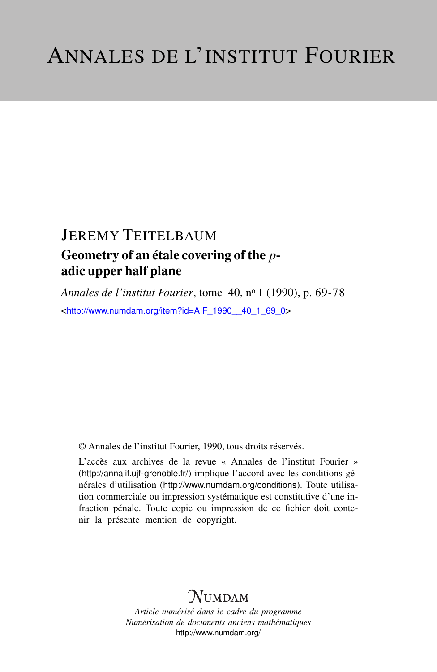# JEREMY TEITELBAUM

## Geometry of an étale covering of the *p*adic upper half plane

*Annales de l'institut Fourier*, tome 40, n<sup>o</sup> 1 (1990), p. 69-78 <[http://www.numdam.org/item?id=AIF\\_1990\\_\\_40\\_1\\_69\\_0](http://www.numdam.org/item?id=AIF_1990__40_1_69_0)>

© Annales de l'institut Fourier, 1990, tous droits réservés.

L'accès aux archives de la revue « Annales de l'institut Fourier » (<http://annalif.ujf-grenoble.fr/>) implique l'accord avec les conditions générales d'utilisation (<http://www.numdam.org/conditions>). Toute utilisation commerciale ou impression systématique est constitutive d'une infraction pénale. Toute copie ou impression de ce fichier doit contenir la présente mention de copyright.

# NUMDAM

*Article numérisé dans le cadre du programme Numérisation de documents anciens mathématiques* <http://www.numdam.org/>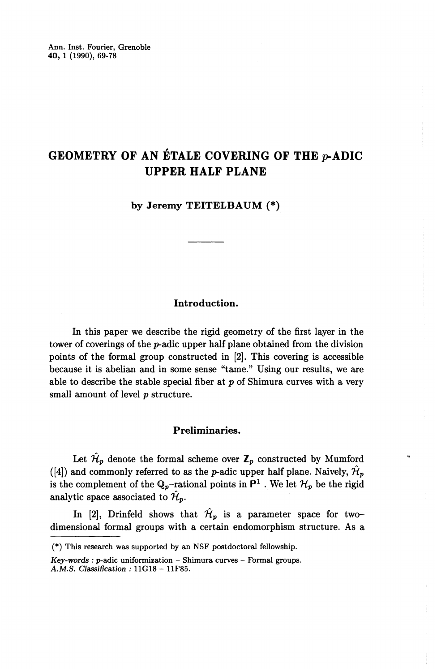## **GEOMETRY OF AN ETALE COVERING OF THE p-ADIC UPPER HALF PLANE**

**by Jeremy TEITELBAUM (\*)**

#### **Introduction.**

In this paper we describe the rigid geometry of the first layer in the tower of coverings of the p-adic upper half plane obtained from the division points of the formal group constructed in [2]. This covering is accessible because it is abelian and in some sense "tame." Using our results, we are able to describe the stable special fiber at *p* of Shimura curves with a very small amount of level *p* structure.

#### **Preliminaries.**

Let  $\mathcal{H}_p$  denote the formal scheme over  $\mathbb{Z}_p$  constructed by Mumford ([4]) and commonly referred to as the *p*-adic upper half plane. Naively,  $\hat{\mathcal{H}}_p$ is the complement of the  $Q_p$ -rational points in  $P^1$ . We let  $\mathcal{H}_p$  be the rigid analytic space associated to  $\hat{\mathcal{H}}_p$ .

In [2], Drinfeld shows that  $\mathcal{H}_p$  is a parameter space for twodimensional formal groups with a certain endomorphism structure. As a

<sup>(\*)</sup> This research was supported by an NSF postdoctoral fellowship.

*Key-words : p-adic uniformization - Shimura curves - Formal groups.* A.M.S. *Classification :* 11G18 - 11F85.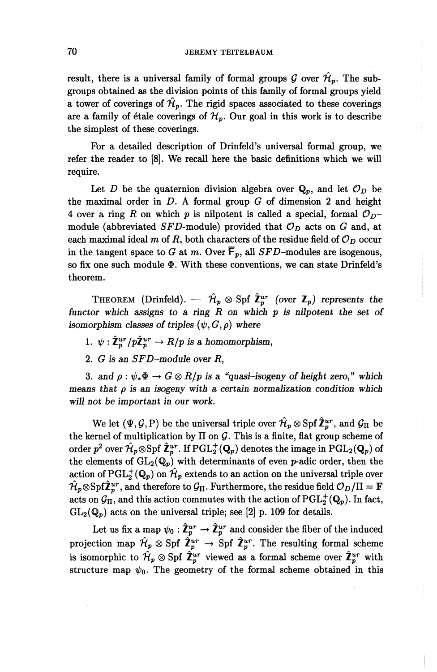result, there is a universal family of formal groups  $\mathcal G$  over  $\mathcal H_p$ . The subgroups obtained as the division points of this family of formal groups yield a tower of coverings of  $\mathcal{H}_p$ . The rigid spaces associated to these coverings are a family of étale coverings of  $\mathcal{H}_p$ . Our goal in this work is to describe the simplest of these coverings.

For a detailed description of Drinfeld's universal formal group, we refer the reader to [8]. We recall here the basic definitions which we will require.

Let *D* be the quaternion division algebra over  $Q_p$ , and let  $\mathcal{O}_D$  be the maximal order in D. A formal group *G* of dimension 2 and height 4 over a ring R on which p is nilpotent is called a special, formal  $\mathcal{O}_{D}$ module (abbreviated *SFD*-module) provided that  $\mathcal{O}_D$  acts on *G* and, at each maximal ideal m of R, both characters of the residue field of  $\mathcal{O}_D$  occur in the tangent space to G at m. Over  $\overline{F}_p$ , all SFD-modules are isogenous, so fix one such module  $\Phi$ . With these conventions, we can state Drinfeld's theorem.

THEOREM (Drinfeld). —  $\hat{\mathcal{H}}_p \otimes \text{Spf } \hat{\mathbb{Z}}_p^{ur}$  (over  $\mathbb{Z}_p$ ) represents the *functor which assigns to a ring R on which p is nilpotent the set of isomorphism classes of triples*  $(\psi, G, \rho)$  where

1.  $\psi : \hat{\mathbb{Z}}_p^{ur}/p\hat{\mathbb{Z}}_p^{ur} \to R/p$  is a homomorphism,

2. *G is an SFD-module over R,*

3. and  $\rho : \psi_* \Phi \to G \otimes R/p$  is a "quasi-isogeny of height zero," which *means that p is an isogeny with a certain normalization condition which will not be important in our work.*

We let  $(\Psi, \mathcal{G}, P)$  be the universal triple over  $\hat{\mathcal{H}}_p \otimes S$  pf  $\hat{\mathbb{Z}}_p^{ur}$ , and  $\mathcal{G}_{\Pi}$  be the kernel of multiplication by  $\Pi$  on  $G$ . This is a finite, flat group scheme of order  $p^2$  over  $\hat{\mathcal{H}}_p \otimes S$  of  $\hat{\mathbf{Z}}_p^{ur}$ . If  $\operatorname{PGL}_2(\mathbf{Q}_p)$  denotes the image in  $\operatorname{PGL}_2(\mathbf{Q}_p)$  of the elements of  $GL_2(\mathbb{Q}_p)$  with determinants of even *p*-adic order, then the action of  $\text{PGL}_2^+(\mathbf{Q}_p)$  on  $\hat{\mathcal{H}}_p$  extends to an action on the universal triple over  $\hat{\mathcal{H}}_p \otimes \mathrm{Spf}\hat{\mathbf{Z}}_p^{ur}$ , and therefore to  $\mathcal{G}_{\Pi}$ . Furthermore, the residue field  $\mathcal{O}_D/\Pi = \mathbf{F}$ acts on  $\mathcal{G}_{II}$ , and this action commutes with the action of PGL<sup>+</sup><sub>2</sub>( $\mathbf{Q}_p$ ). In fact,  $GL_2(\mathbf{Q}_p)$  acts on the universal triple; see [2] p. 109 for details.

Let us fix a map  $\psi_0 : \hat{\mathbb{Z}}_p^{ur} \to \hat{\mathbb{Z}}_p^{ur}$  and consider the fiber of the induced projection map  $\hat{\mathcal{H}}_p \otimes \text{Spf } \hat{\mathbb{Z}}_p^{ur} \to \text{Spf } \hat{\mathbb{Z}}_p^{ur}$ . The resulting formal scheme is isomorphic to  $\hat{\mathcal{H}}_p \otimes \text{Spf } \hat{\mathbb{Z}}_p^{ur}$  viewed as a formal scheme over  $\hat{\mathbb{Z}}_p^{ur}$  with structure map  $\psi_0$ . The geometry of the formal scheme obtained in this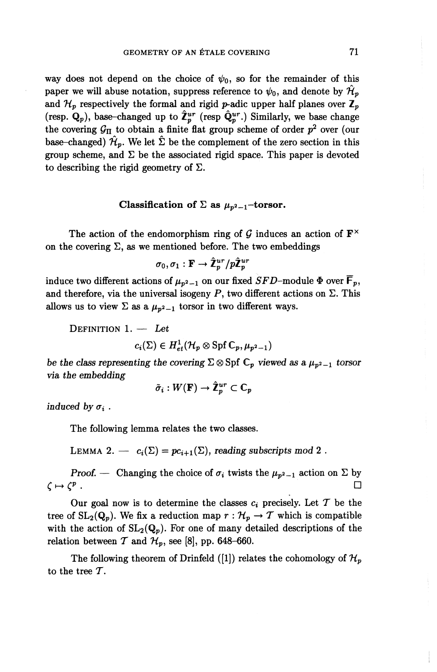way does not depend on the choice of  $\psi_0$ , so for the remainder of this paper we will abuse notation, suppress reference to  $\psi_0$ , and denote by  $\mathcal{H}_p$ and  $\mathcal{H}_p$  respectively the formal and rigid p-adic upper half planes over  $\mathbb{Z}_p$ (resp.  $\mathbf{Q}_p$ ), base-changed up to  $\hat{\mathbf{Z}}_p^{ur}$  (resp  $\hat{\mathbf{Q}}_p^{ur}$ .) Similarly, we base change the covering  $\mathcal{G}_{\Pi}$  to obtain a finite flat group scheme of order  $p^2$  over (our base-changed)  $\mathcal{H}_p$ . We let  $\Sigma$  be the complement of the zero section in this group scheme, and  $\Sigma$  be the associated rigid space. This paper is devoted to describing the rigid geometry of  $\Sigma$ .

#### **Classification of**  $\Sigma$  **as**  $\mu_{p^2-1}$ **-torsor.**

The action of the endomorphism ring of  $\mathcal G$  induces an action of  $\mathbf F^{\times}$ on the covering  $\Sigma$ , as we mentioned before. The two embeddings

$$
\sigma_0, \sigma_1: \mathbf{F} \to \hat{\mathbf{\mathcal{I}}}_p^{ur}/p\hat{\mathbf{\mathcal{I}}}^{ur}_p
$$

induce two different actions of  $\mu_{p^2-1}$  on our fixed *SFD*-module  $\Phi$  over  $\mathsf{F}_p$ , and therefore, via the universal isogeny  $P$ , two different actions on  $\Sigma$ . This allows us to view  $\Sigma$  as a  $\mu_{p^2-1}$  torsor in two different ways.

DEFINITION 1. — *Let*

 $c_i(\Sigma) \in H^1_{et}(\mathcal{H}_p \otimes \text{Spf }\mathbb{C}_p,\mu_{p^2-1})$ 

*be the class representing the covering*  $\Sigma \otimes \mathrm{Spf} \mathbb{C}_p$  *viewed as a*  $\mu_{p^2-1}$  *torsor via the embedding*

$$
\tilde{\sigma}_i: W(\mathbf{F}) \to \hat{\mathbf{Z}}_p^{ur} \subset \mathbb{C}_p
$$

*induced by*  $\sigma_i$ .

The following lemma relates the two classes.

LEMMA 2. —  $c_i(\Sigma) = pc_{i+1}(\Sigma)$ , reading subscripts mod 2.

*Proof.* — Changing the choice of  $\sigma_i$  twists the  $\mu_{p^2-1}$  action on  $\Sigma$  by  $\subset \sigma$  .

Our goal now is to determine the classes  $c_i$  precisely. Let T be the tree of  $SL_2(Q_p)$ . We fix a reduction map  $r : \mathcal{H}_p \to \mathcal{T}$  which is compatible with the action of  $SL_2(Q_p)$ . For one of many detailed descriptions of the relation between  $T$  and  $\mathcal{H}_p$ , see [8], pp. 648-660.

The following theorem of Drinfeld ([1]) relates the cohomology of  $\mathcal{H}_p$ to the tree T.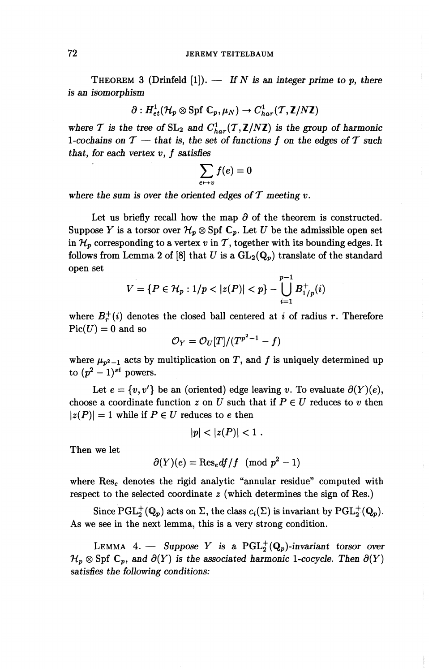THEOREM 3 (Drinfeld  $[1]$ ). — *If* N is an integer prime to p, there *is an isomorphism*

$$
\partial: H^1_{et}(\mathcal{H}_p\otimes \mathrm{Spf}\; \mathbb{C}_p, \mu_N)\to C^1_{har}(\mathcal{T},\mathbb{Z}/N\mathbb{Z})
$$

where T is the tree of  $SL_2$  and  $C_{har}^1(\mathcal{T},\mathbb{Z}/N\mathbb{Z})$  is the group of harmonic where *T* is the tree of  $SL_2$  and  $C_{har}^1(T, \mathbb{Z}/N\mathbb{Z})$  is the group of harmonic 1-cochains on  $T$  — that is, the set of functions  $f$  on the edges of  $T$  such *that, for each vertex v, f satisfies* 

$$
\sum_{e \mapsto v} f(e) = 0
$$

where the sum is over the oriented edges of  $T$  meeting  $v$ .

Let us briefly recall how the map  $\partial$  of the theorem is constructed. Suppose *Y* is a torsor over  $\mathcal{H}_p \otimes S$  pf  $\mathbb{C}_p$ . Let *U* be the admissible open set in  $\mathcal{H}_p$  corresponding to a vertex v in T, together with its bounding edges. It follows from Lemma 2 of  $[8]$  that U is a  $GL_2(\mathbb{Q}_p)$  translate of the standard open set

$$
V = \{ P \in \mathcal{H}_p : 1/p < |z(P)| < p \} - \bigcup_{i=1}^{p-1} B_{1/p}^+(i)
$$

where  $B_r^+(i)$  denotes the closed ball centered at i of radius r. Therefore  $Pic(U) = 0$  and so

$$
\mathcal{O}_Y=\mathcal{O}_U[T]/(T^{p^2-1}-f)
$$

where  $\mu_{p^2-1}$  acts by multiplication on T, and f is uniquely determined up to  $(p^2 - 1)^{st}$  powers.

Let  $e = \{v, v'\}$  be an (oriented) edge leaving v. To evaluate  $\partial(Y)(e)$ , choose a coordinate function  $z$  on  $U$  such that if  $P \in U$  reduces to  $v$  then  $|z(P)| = 1$  while if  $P \in U$  reduces to e then

$$
|p| < |z(P)| < 1 \; .
$$

**Then we let**

$$
\partial(Y)(e) = \text{Res}_e df/f \pmod{p^2 - 1}
$$

where  $\text{Res}_{e}$  denotes the rigid analytic "annular residue" computed with respect to the selected coordinate *z* (which determines the sign of Res.)

Since  $\text{PGL}_2^+(\mathbf{Q}_p)$  acts on  $\Sigma$ , the class  $c_i(\Sigma)$  is invariant by  $\text{PGL}_2^+(\mathbf{Q}_p)$ . As we see in the next lemma, this is a very strong condition.

LEMMA 4. – Suppose Y is a  $PGL_2^+(\mathbb{Q}_p)$ -invariant torsor over  $\mathcal{H}_p \otimes Spf \mathbb{C}_p$ *, and*  $\partial(Y)$  *is the associated harmonic 1-cocycle. Then*  $\partial(Y)$ *satisfies the following conditions:*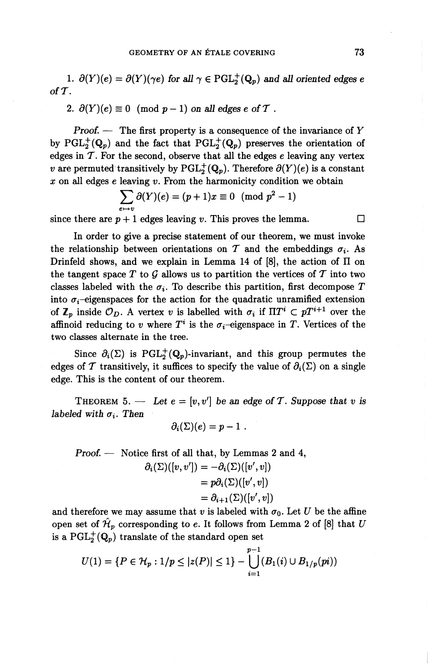1.  $\partial(Y)(e) = \partial(Y)(\gamma e)$  for all  $\gamma \in \text{PGL}_2^+(\mathbb{Q}_p)$  and all oriented edges e of  $\mathcal T$ .

2. 
$$
\partial(Y)(e) \equiv 0 \pmod{p-1}
$$
 on all edges e of T.

*Proof. —* The first property is a consequence of the invariance of *Y* by PGL<sup>+</sup>( $\mathbf{Q}_p$ ) and the fact that PGL<sup>+</sup>( $\mathbf{Q}_p$ ) preserves the orientation of edges in  $\mathcal T$ . For the second, observe that all the edges  $e$  leaving any vertex *v* are permuted transitively by  $PGL_2^+(\mathbb{Q}_n)$ . Therefore  $\partial(Y)(e)$  is a constant *x* on all edges *e* leaving *v*. From the harmonicity condition we obtain  $\sum \partial(Y)(e) = (p+1)x \equiv 0 \pmod{p^2-1}$ 

$$
\sum_{e \mapsto v} \partial(Y)(e) = (p+1)x \equiv 0 \pmod{p^2-1}
$$

since there are  $p + 1$  edges leaving v. This proves the lemma.

In order to give a precise statement of our theorem, we must invoke the relationship between orientations on T and the embeddings  $\sigma_i$ . As Drinfeld shows, and we explain in Lemma 14 of  $[8]$ , the action of  $\Pi$  on the tangent space T to G allows us to partition the vertices of T into two classes labeled with the  $\sigma_i$ . To describe this partition, first decompose *T* into  $\sigma_i$ -eigenspaces for the action for the quadratic unramified extension of  $\mathbb{Z}_p$  inside  $\mathcal{O}_D$ . A vertex v is labelled with  $\sigma_i$  if  $\Pi T^i \subset pT^{i+1}$  over the affinoid reducing to *v* where  $T^i$  is the  $\sigma_i$ -eigenspace in T. Vertices of the two classes alternate in the tree.

Since  $\partial_i(\Sigma)$  is PGL<sup>+</sup>(Q<sub>p</sub>)-invariant, and this group permutes the edges of T transitively, it suffices to specify the value of  $\partial_i(\Sigma)$  on a single edge. This is the content of our theorem.

THEOREM 5. — Let  $e = [v, v']$  be an edge of T. Suppose that v is *labeled with*  $\sigma_i$ . Then

$$
\partial_i(\Sigma)(e) = p-1.
$$

*Proof. —* Notice first of all that, by Lemmas 2 and 4,  $\partial_i(\Sigma)([v,v'])=-\partial_i(\Sigma)([v',v])$  $= p\partial_i(\Sigma)([v',v])$  $=\partial_{i+1}(\Sigma)([v',v])$ 

and therefore we may assume that *v* is labeled with  $\sigma_0$ . Let *U* be the affine open set of  $\hat{\mathcal{H}}_p$  corresponding to *e*. It follows from Lemma 2 of [8] that U is a  $\text{PGL}_2^+(\mathbb{Q}_p)$  translate of the standard open set

$$
U(1) = \{P \in \mathcal{H}_p : 1/p \le |z(P)| \le 1\} - \bigcup_{i=1}^{p-1} (B_1(i) \cup B_{1/p}(pi))
$$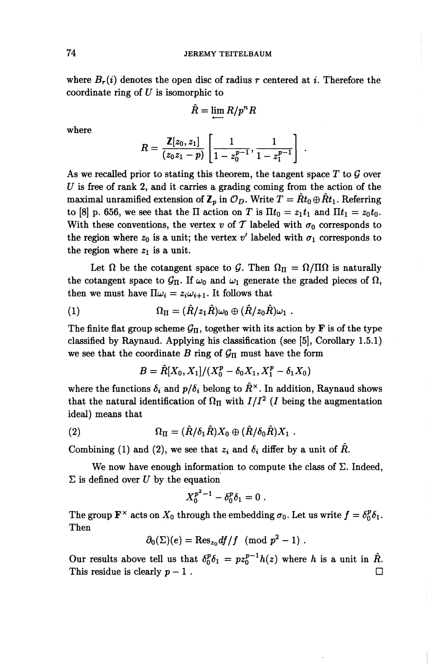where  $B_r(i)$  denotes the open disc of radius r centered at i. Therefore the coordinate ring of *U* is isomorphic to

$$
\hat{R}=\lim_{n\to\infty}R/p^nR
$$

where

$$
R = \frac{\mathbb{Z}[z_0, z_1]}{(z_0 z_1 - p)} \left[ \frac{1}{1 - z_0^{p-1}}, \frac{1}{1 - z_1^{p-1}} \right].
$$

As we recalled prior to stating this theorem, the tangent space *T* to *Q* over *U* is free of rank 2, and it carries a grading coming from the action of the maximal unramified extension of  $\mathbb{Z}_p$  in  $\mathcal{O}_D$ . Write  $T = \hat{R}t_0 \oplus \hat{R}t_1$ . Referring to [8] p. 656, we see that the  $\Pi$  action on  $T$  is  $\Pi t_0 = z_1 t_1$  and  $\Pi t_1 = z_0 t_0$ . With these conventions, the vertex v of T labeled with  $\sigma_0$  corresponds to the region where  $z_0$  is a unit; the vertex  $v'$  labeled with  $\sigma_1$  corresponds to the region where  $z_1$  is a unit.

Let  $\Omega$  be the cotangent space to G. Then  $\Omega_{\Pi} = \Omega/\Pi\Omega$  is naturally the cotangent space to  $\mathcal{G}_{\Pi}$ . If  $\omega_0$  and  $\omega_1$  generate the graded pieces of  $\Omega$ , then we must have  $\Pi \omega_i = z_i \omega_{i+1}$ . It follows that

(1) 
$$
\Omega_{\Pi} = (\hat{R}/z_1\hat{R})\omega_0 \oplus (\hat{R}/z_0\hat{R})\omega_1.
$$

The finite flat group scheme  $G_{\Pi}$ , together with its action by **F** is of the type classified by Raynaud. Applying his classification (see [5], Corollary 1.5.1) we see that the coordinate  $B$  ring of  $\mathcal{G}_{\Pi}$  must have the form

$$
B = \hat{R}[X_0, X_1]/(X_0^p - \delta_0 X_1, X_1^p - \delta_1 X_0)
$$

where the functions  $\delta_i$  and  $p/\delta_i$  belong to  $\hat{R}^{\times}$ . In addition, Raynaud shows that the natural identification of  $\Omega_{\Pi}$  with  $I/I^2$  (*I* being the augmentation ideal) means that

(2) 
$$
\Omega_{\Pi} = (\hat{R}/\delta_1 \hat{R}) X_0 \oplus (\hat{R}/\delta_0 \hat{R}) X_1 .
$$

Combining (1) and (2), we see that  $z_i$  and  $\delta_i$  differ by a unit of  $\tilde{R}$ .

We now have enough information to compute the class of  $\Sigma$ . Indeed,  $\Sigma$  is defined over U by the equation

$$
X_0^{p^2-1} - \delta_0^p \delta_1 = 0 \; .
$$

The group  $\mathbf{F}^{\times}$  acts on  $X_0$  through the embedding  $\sigma_0.$  Let us write  $f=\delta_0^p\delta_1.$ Then

$$
\partial_0(\Sigma)(e) = \text{Res}_{z_0} df/f \pmod{p^2 - 1}.
$$

Our results above tell us that  $\delta_0^p \delta_1 = p z_0^{p-1} h(z)$  where *h* is a unit in  $\hat{R}$ . This residue is clearly  $p-1$ .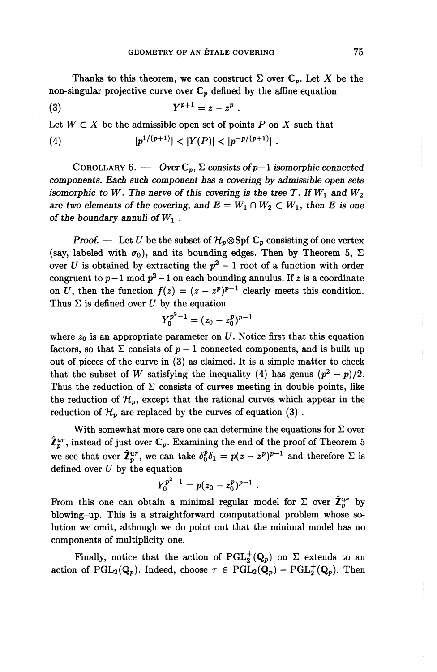Thanks to this theorem, we can construct  $\Sigma$  over  $\mathbb{C}_p$ . Let X be the non-singular projective curve over  $C_p$  defined by the affine equation

*.*

$$
(3) \t Y^{p+1} = z - z^p
$$

Let  $W \subset X$  be the admissible open set of points  $P$  on  $X$  such that

(4) 
$$
|p^{1/(p+1)}| < |Y(P)| < |p^{-p/(p+1)}|.
$$

COROLLARY 6. — Over  $C_n$ ,  $\Sigma$  consists of  $p-1$  isomorphic connected *components. Each such component has a covering by admissible open sets isomorphic to W. The nerve of this covering is the tree T. If*  $W_1$  *and*  $W_2$ are two elements of the covering, and  $E = W_1 \cap W_2 \subset W_1$ , then E is one *of the boundary annuli otW\ .*

*Proof.* — Let *U* be the subset of  $\mathcal{H}_p \otimes Spf C_p$  consisting of one vertex (say, labeled with  $\sigma_0$ ), and its bounding edges. Then by Theorem 5,  $\Sigma$ over U is obtained by extracting the  $p^2 - 1$  root of a function with order congruent to  $p-1$  mod  $p^2-1$  on each bounding annulus. If *z* is a coordinate congruent to  $p-1$  mod  $p^2-1$  on each bounding annulus. If z is a coordinate<br>on U, then the function  $f(z) = (z - z^p)^{p-1}$  clearly meets this condition. Thus  $\Sigma$  is defined over  $U$  by the equation

$$
Y_0^{p^2-1} = (z_0 - z_0^p)^{p-1}
$$

where  $z_0$  is an appropriate parameter on U. Notice first that this equation factors, so that  $\Sigma$  consists of  $p-1$  connected components, and is built up out of pieces of the curve in (3) as claimed. It is a simple matter to check out of pieces of the curve in (3) as claimed. It is a simple matter to check that the subset of W satisfying the inequality (4) has genus  $(p^2 - p)/2$ . Thus the reduction of  $\Sigma$  consists of curves meeting in double points, like the reduction of  $\mathcal{H}_p$ , except that the rational curves which appear in the reduction of  $\mathcal{H}_p$  are replaced by the curves of equation (3).

With somewhat more care one can determine the equations for  $\Sigma$  over  $\hat{\mathbb{Z}}_n^{ur}$ , instead of just over  $\mathbb{C}_p$ . Examining the end of the proof of Theorem 5  $\mathcal{L}_p^{\omega}$ , instead of just over  $\mathbb{C}_p$ . Examining the end of the proof of Theorem 5<br>we see that over  $\hat{\mathbb{Z}}_p^{ur}$ , we can take  $\delta_0^p \delta_1 = p(z - z^p)^{p-1}$  and therefore  $\Sigma$  is defined over *U* by the equation

$$
Y_0^{p^2-1}=p(z_0-z_0^p)^{p-1}.
$$

From this one can obtain a minimal regular model for  $\Sigma$  over  $\hat{\mathbb{Z}}_p^{ur}$  by blowing-up. This is a straightforward computational problem whose solution we omit, although we do point out that the minimal model has no components of multiplicity one.

**Finally, notice that the action of**  $PGL_2^+(\mathbb{Q}_p)$  **on**  $\Sigma$  **extends to an action of**  $PGL_2(\mathbf{Q}_p)$ . Indeed, choose  $\tau \in PGL_2(\mathbf{Q}_p) - PGL_2^+(\mathbf{Q}_p)$ . Then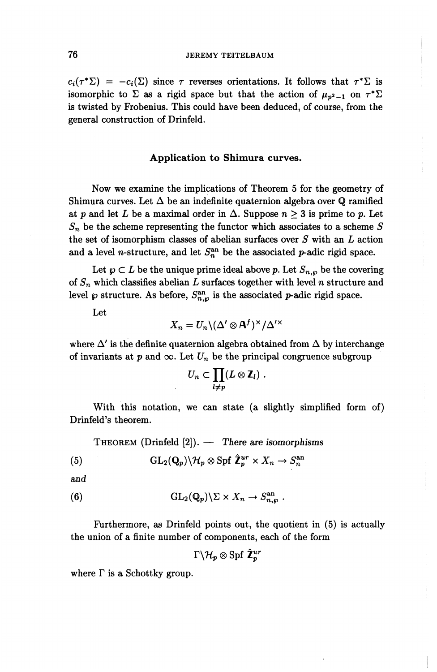#### 76 JEREMY TEITELBAUM

 $c_i(\tau^*\Sigma) = -c_i(\Sigma)$  since  $\tau$  reverses orientations. It follows that  $\tau^*\Sigma$  is isomorphic to  $\Sigma$  as a rigid space but that the action of  $\mu_{n^2-1}$  on  $\tau^*\Sigma$ is twisted by Frobenius. This could have been deduced, of course, from the general construction of Drinfeld.

#### **Application to Shimura curves.**

Now we examine the implications of Theorem 5 for the geometry of Shimura curves. Let  $\Delta$  be an indefinite quaternion algebra over Q ramified at p and let L be a maximal order in  $\Delta$ . Suppose  $n \geq 3$  is prime to p. Let *Sn* be the scheme representing the functor which associates to a scheme *S* the set of isomorphism classes of abelian surfaces over *S* with an *L* action and a level *n*-structure, and let  $S^{\text{an}}_{n}$  be the associated *p*-adic rigid space.

Let  $\wp \subset L$  be the unique prime ideal above p. Let  $S_{n,\wp}$  be the covering of *Sn* which classifies abelian *L* surfaces together with level *n* structure and level  $\wp$  structure. As before,  $S^{\text{an}}_{n,\wp}$  is the associated  $p$ -adic rigid space.

Let

$$
X_n = U_n \backslash (\Delta' \otimes A^f)^{\times} / \Delta'^{\times}
$$

where  $\Delta'$  is the definite quaternion algebra obtained from  $\Delta$  by interchange of invariants at p and  $\infty$ . Let  $U_n$  be the principal congruence subgroup

$$
U_n\subset \prod_{l\neq p}(L\otimes \mathbf{Z}_l)\ .
$$

With this notation, we can state (a slightly simplified form of) Drinfeld's theorem.

THEOREM (Drinfeld [2]). — *There are isomorphisms*

(5) 
$$
\mathrm{GL}_2(\mathbf{Q}_p)\backslash \mathcal{H}_p\otimes \mathrm{Spf}\ \hat{\mathbf{Z}}_p^{ur}\times X_n\to S_n^{\mathrm{an}}
$$

*and*

(6) 
$$
\mathrm{GL}_2(\mathbf{Q}_p)\backslash \Sigma \times X_n \to S_{n,\wp}^{\mathrm{an}}
$$

Furthermore, as Drinfeld points out, the quotient in (5) is actually the union of a finite number of components, each of the form

$$
\Gamma \backslash \mathcal{H}_p \otimes \mathrm{Spf} \,\, \hat{\mathbf{Z}}^{ur}_p
$$

where  $\Gamma$  is a Schottky group.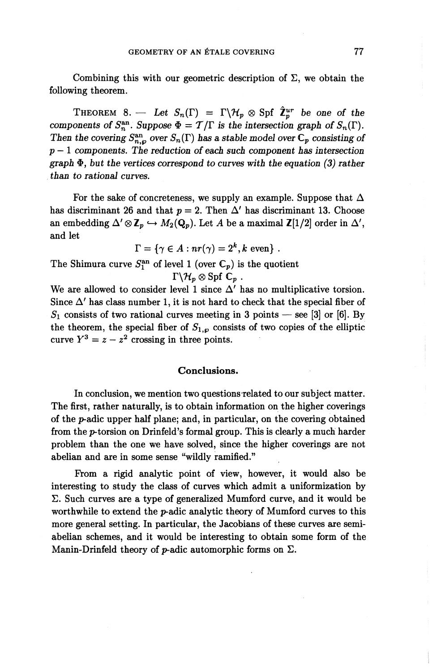Combining this with our geometric description of  $\Sigma$ , we obtain the following theorem.

THEOREM 8. — Let  $S_n(\Gamma) = \Gamma \backslash \mathcal{H}_p \otimes \text{Spf } \hat{\mathbb{Z}}_p^{ur}$  be one of the *components of*  $S_n^{\text{an}}$ *. Suppose*  $\Phi = T/\Gamma$  *is the intersection graph of*  $S_n(\Gamma)$ *.* Then the covering  $S^{\text{an}}_{n,o}$  over  $S_n(\Gamma)$  has a stable model over  $\mathbb{C}_p$  consisting of *p —* 1 components. *The reduction of each such component has intersection*  $graph \Phi$ , but the vertices correspond to curves with the equation (3) rather *than to rational curves.*

For the sake of concreteness, we supply an example. Suppose that  $\Delta$ has discriminant 26 and that  $p = 2$ . Then  $\Delta'$  has discriminant 13. Choose an embedding  $\Delta' \otimes \mathbb{Z}_p \hookrightarrow M_2(\mathbb{Q}_p)$ . Let A be a maximal  $\mathbb{Z}[1/2]$  order in  $\Delta'$ , and let

$$
\Gamma = \{ \gamma \in A : nr(\gamma) = 2^k, k \text{ even } \} .
$$

The Shimura curve  $S^{\text{an}}_1$  of level 1 (over C<sub>p</sub>) is the quotient

 $\Gamma \backslash \mathcal{H}_p \otimes \mathrm{Spf} \; \mathbb{C}_p$ .

We are allowed to consider level 1 since  $\Delta'$  has no multiplicative torsion. Since  $\Delta'$  has class number 1, it is not hard to check that the special fiber of  $S_1$  consists of two rational curves meeting in 3 points — see [3] or [6]. By the theorem, the special fiber of  $S_{1,\varphi}$  consists of two copies of the elliptic curve  $Y^3 = z - z^2$  crossing in three points.

#### **Conclusions.**

In conclusion, we mention two questions related to our subject matter. The first, rather naturally, is to obtain information on the higher coverings of the  $p$ -adic upper half plane; and, in particular, on the covering obtained from the p-torsion on Drinfeld's formal group. This is clearly a much harder problem than the one we have solved, since the higher coverings are not abelian and are in some sense "wildly ramified."

From a rigid analytic point of view, however, it would also be interesting to study the class of curves which admit a uniformization by E. Such curves are a type of generalized Mumford curve, and it would be worthwhile to extend the *p*-adic analytic theory of Mumford curves to this more general setting. In particular, the Jacobians of these curves are semiabelian schemes, and it would be interesting to obtain some form of the Manin-Drinfeld theory of p-adic automorphic forms on  $\Sigma$ .